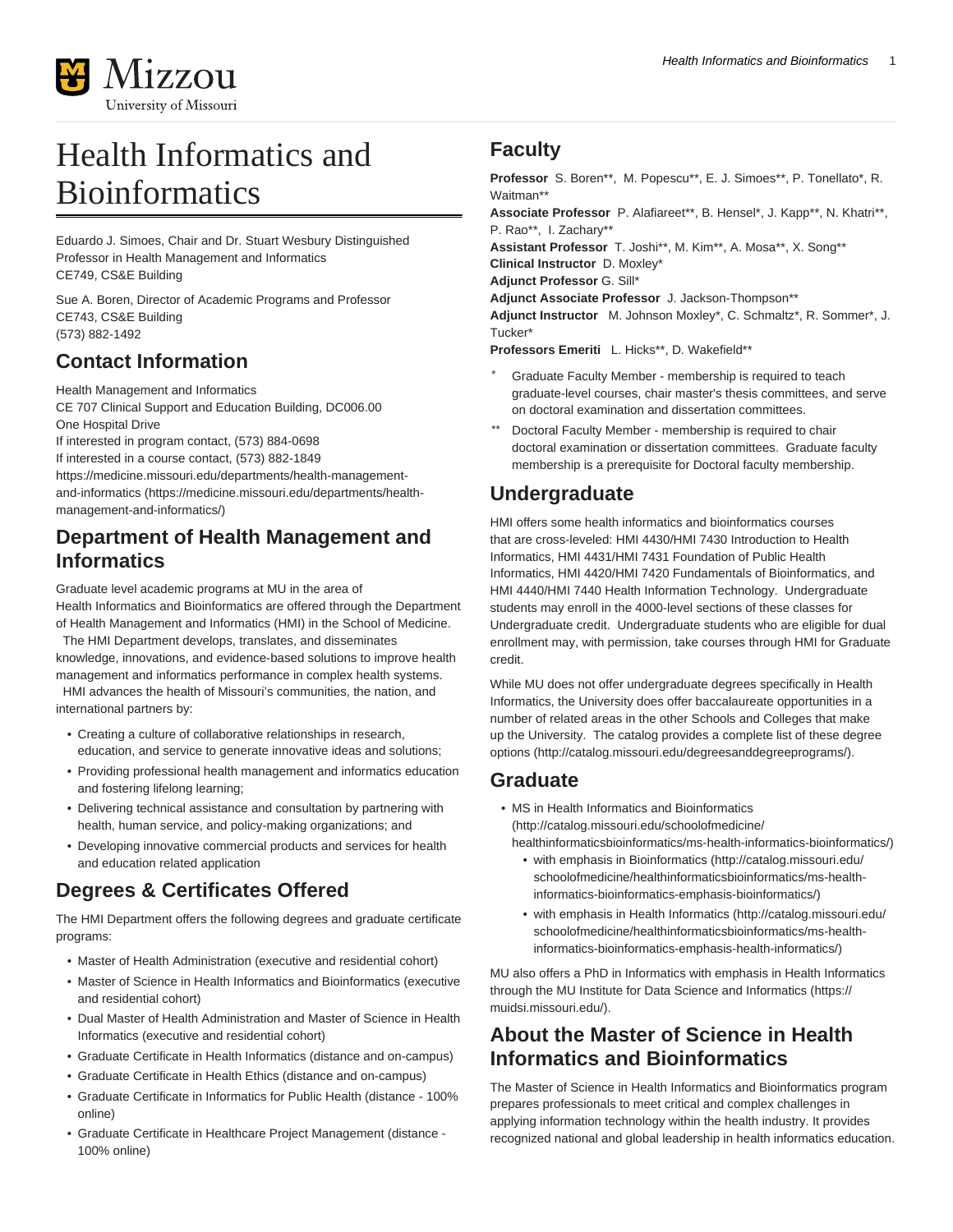

# Health Informatics and **Bioinformatics**

Eduardo J. Simoes, Chair and Dr. Stuart Wesbury Distinguished Professor in Health Management and Informatics CE749, CS&E Building

Sue A. Boren, Director of Academic Programs and Professor CE743, CS&E Building (573) 882-1492

## **Contact Information**

Health Management and Informatics CE 707 Clinical Support and Education Building, DC006.00 One Hospital Drive If interested in program contact, (573) 884-0698 If interested in a course contact, (573) 882-1849

[https://medicine.missouri.edu/departments/health-management](https://medicine.missouri.edu/departments/health-management-and-informatics/)[and-informatics](https://medicine.missouri.edu/departments/health-management-and-informatics/) ([https://medicine.missouri.edu/departments/health](https://medicine.missouri.edu/departments/health-management-and-informatics/)[management-and-informatics/](https://medicine.missouri.edu/departments/health-management-and-informatics/))

#### **Department of Health Management and Informatics**

Graduate level academic programs at MU in the area of

Health Informatics and Bioinformatics are offered through the Department of Health Management and Informatics (HMI) in the School of Medicine. The HMI Department develops, translates, and disseminates

knowledge, innovations, and evidence-based solutions to improve health management and informatics performance in complex health systems. HMI advances the health of Missouri's communities, the nation, and

international partners by:

- Creating a culture of collaborative relationships in research, education, and service to generate innovative ideas and solutions;
- Providing professional health management and informatics education and fostering lifelong learning;
- Delivering technical assistance and consultation by partnering with health, human service, and policy-making organizations; and
- Developing innovative commercial products and services for health and education related application

# **Degrees & Certificates Offered**

The HMI Department offers the following degrees and graduate certificate programs:

- Master of Health Administration (executive and residential cohort)
- Master of Science in Health Informatics and Bioinformatics (executive and residential cohort)
- Dual Master of Health Administration and Master of Science in Health Informatics (executive and residential cohort)
- Graduate Certificate in Health Informatics (distance and on-campus)
- Graduate Certificate in Health Ethics (distance and on-campus)
- Graduate Certificate in Informatics for Public Health (distance 100% online)
- Graduate Certificate in Healthcare Project Management (distance 100% online)

# **Faculty**

**Professor** S. Boren\*\*, M. Popescu\*\*, E. J. Simoes\*\*, P. Tonellato\*, R. Waitman\*\*

**Associate Professor** P. Alafiareet\*\*, B. Hensel\*, J. Kapp\*\*, N. Khatri\*\*, P. Rao\*\*, I. Zachary\*\*

**Assistant Professor** T. Joshi\*\*, M. Kim\*\*, A. Mosa\*\*, X. Song\*\* **Clinical Instructor** D. Moxley\*

**Adjunct Professor** G. Sill\*

**Adjunct Associate Professor** J. Jackson-Thompson\*\*

**Adjunct Instructor** M. Johnson Moxley\*, C. Schmaltz\*, R. Sommer\*, J. Tucker\*

**Professors Emeriti** L. Hicks\*\*, D. Wakefield\*\*

- Graduate Faculty Member membership is required to teach graduate-level courses, chair master's thesis committees, and serve on doctoral examination and dissertation committees.
- Doctoral Faculty Member membership is required to chair doctoral examination or dissertation committees. Graduate faculty membership is a prerequisite for Doctoral faculty membership.

# **Undergraduate**

HMI offers some health informatics and bioinformatics courses that are cross-leveled: HMI 4430/HMI 7430 Introduction to Health Informatics, HMI 4431/HMI 7431 Foundation of Public Health Informatics, HMI 4420/HMI 7420 Fundamentals of Bioinformatics, and HMI 4440/HMI 7440 Health Information Technology. Undergraduate students may enroll in the 4000-level sections of these classes for Undergraduate credit. Undergraduate students who are eligible for dual enrollment may, with permission, take courses through HMI for Graduate credit.

While MU does not offer undergraduate degrees specifically in Health Informatics, the University does offer baccalaureate opportunities in a number of related areas in the other Schools and Colleges that make up the University. The catalog provides a [complete list of these degree](http://catalog.missouri.edu/degreesanddegreeprograms/) [options](http://catalog.missouri.edu/degreesanddegreeprograms/) (<http://catalog.missouri.edu/degreesanddegreeprograms/>).

## **Graduate**

- [MS in Health Informatics and Bioinformatics](http://catalog.missouri.edu/schoolofmedicine/healthinformaticsbioinformatics/ms-health-informatics-bioinformatics/) ([http://catalog.missouri.edu/schoolofmedicine/](http://catalog.missouri.edu/schoolofmedicine/healthinformaticsbioinformatics/ms-health-informatics-bioinformatics/) [healthinformaticsbioinformatics/ms-health-informatics-bioinformatics/\)](http://catalog.missouri.edu/schoolofmedicine/healthinformaticsbioinformatics/ms-health-informatics-bioinformatics/)
	- [with emphasis in Bioinformatics \(http://catalog.missouri.edu/](http://catalog.missouri.edu/schoolofmedicine/healthinformaticsbioinformatics/ms-health-informatics-bioinformatics-emphasis-bioinformatics/) [schoolofmedicine/healthinformaticsbioinformatics/ms-health](http://catalog.missouri.edu/schoolofmedicine/healthinformaticsbioinformatics/ms-health-informatics-bioinformatics-emphasis-bioinformatics/)[informatics-bioinformatics-emphasis-bioinformatics/\)](http://catalog.missouri.edu/schoolofmedicine/healthinformaticsbioinformatics/ms-health-informatics-bioinformatics-emphasis-bioinformatics/)
	- [with emphasis in Health Informatics](http://catalog.missouri.edu/schoolofmedicine/healthinformaticsbioinformatics/ms-health-informatics-bioinformatics-emphasis-health-informatics/) ([http://catalog.missouri.edu/](http://catalog.missouri.edu/schoolofmedicine/healthinformaticsbioinformatics/ms-health-informatics-bioinformatics-emphasis-health-informatics/) [schoolofmedicine/healthinformaticsbioinformatics/ms-health](http://catalog.missouri.edu/schoolofmedicine/healthinformaticsbioinformatics/ms-health-informatics-bioinformatics-emphasis-health-informatics/)[informatics-bioinformatics-emphasis-health-informatics/\)](http://catalog.missouri.edu/schoolofmedicine/healthinformaticsbioinformatics/ms-health-informatics-bioinformatics-emphasis-health-informatics/)

MU also offers a PhD in Informatics with emphasis in Health Informatics through the [MU Institute for Data Science and Informatics](https://muidsi.missouri.edu/) ([https://](https://muidsi.missouri.edu/) [muidsi.missouri.edu/\)](https://muidsi.missouri.edu/).

## **About the Master of Science in Health Informatics and Bioinformatics**

The Master of Science in Health Informatics and Bioinformatics program prepares professionals to meet critical and complex challenges in applying information technology within the health industry. It provides recognized national and global leadership in health informatics education.